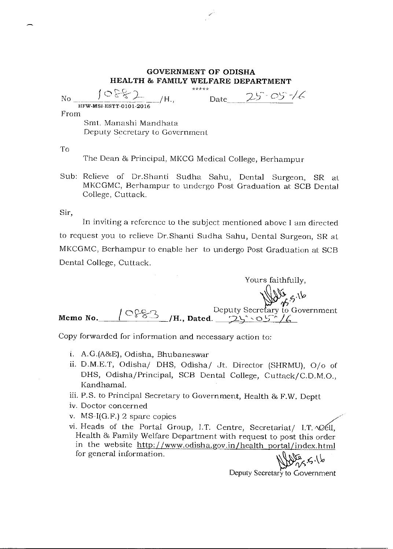## GOVERNMENT OF ODISHA HEALTH & FAMILY WELFARE DEPARTMENT

| 10887<br>$H_{\rm H}$ .<br>Nο                            | *****<br>$25 - 05 - 16$<br>Date |
|---------------------------------------------------------|---------------------------------|
| HFW-MSI-ESTT-0101-2016                                  |                                 |
| From                                                    |                                 |
| Smt. Manashi Mandhata<br>Deputy Secretary to Government |                                 |

To

The Dean & Principal, MKCG Medical College, Berhampur

Sub: Relieve of Dr.Shanti Sudha Sahu, Dental Surgeon, SR at MKCGMC, Berhampur to undergo Post Graduation at SCB Dental College, Cuttack.

Sir,

In inviting a reference to the subject mentioned above I am directed to request you to relieve Dr.Shanti Sudha Sahu, Dental Surgeon, SR at MKCGMC, Berhampur to enable her to undergo Post Graduation at SCB Dental College, Cuttack.

Yours faithfully,  $\frac{d^{1/2}}{d^{5}}$ .5.16 Memo No.  $\sqrt{\frac{C'855}{1}}$ /H., Dated. Deputy Secretary to Government

Copy forwarded for information and necessary action to:

- i. A.G.(A&E), Odisha, Bhubaneswar
- ii. D.M.E.T, Odisha/ DHS, Odisha/ Jt. Director (SHRMU), 0/o of DHS, Odisha/Principal, SCB Dental College, Cuttack/C.D.M.O., Kandhamal.
- iii. P.S. to Principal Secretary to Government, Health & F.W. Deptt
- iv. Doctor concerned
- v. MS-I(G.F.) 2 spare copies
- vi. Heads of the Portal Group, I.T. Centre, Secretariat/ I.T.  $\Delta 2ell$ , Health & Family Welfare Department with request to post this order in the website http://www.odisha.gov.in/health portal/index html for general information.

Deputy Secretary to Government